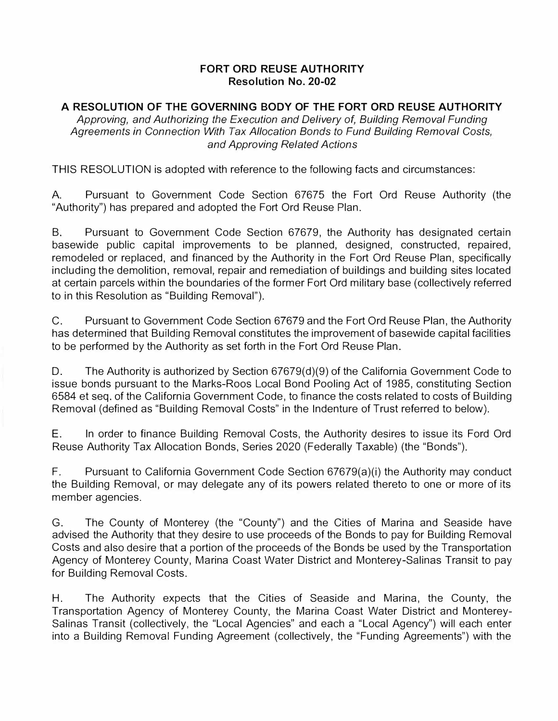## **FORT ORD REUSE AUTHORITY Resolution No. 20-02**

## **A RESOLUTION OF THE GOVERNING BODY OF THE FORT ORD REUSE AUTHORITY**

*Approving, and Authorizing the Execution and Delivery of, Building Removal Funding Agreements in Connection With Tax Allocation Bonds to Fund Building Removal Costs, and Approving Related Actions* 

THIS RESOLUTION is adopted with reference to the following facts and circumstances:

A. Pursuant to Government Code Section 67675 the Fort Ord Reuse Authority (the "Authority") has prepared and adopted the Fort Ord Reuse Plan.

B. Pursuant to Government Code Section 67679, the Authority has designated certain basewide public capital improvements to be planned, designed, constructed, repaired, remodeled or replaced, and financed by the Authority in the Fort Ord Reuse Plan, specifically including the demolition, removal, repair and remediation of buildings and building sites located at certain parcels within the boundaries of the former Fort Ord military base (collectively referred to in this Resolution as "Building Removal").

C. Pursuant to Government Code Section 67679 and the Fort Ord Reuse Plan, the Authority has determined that Building Removal constitutes the improvement of basewide capital facilities to be performed by the Authority as set forth in the Fort Ord Reuse Plan.

D. The Authority is authorized by Section 67679(d)(9) of the California Government Code to issue bonds pursuant to the Marks-Roos Local Bond Pooling Act of 1985, constituting Section 6584 et seq. of the California Government Code, to finance the costs related to costs of Building Removal (defined as "Building Removal Costs" in the Indenture of Trust referred to below).

E. In order to finance Building Removal Costs, the Authority desires to issue its Ford Ord Reuse Authority Tax Allocation Bonds, Series 2020 (Federally Taxable) (the "Bonds").

F. Pursuant to California Government Code Section 67679(a)(i) the Authority may conduct the Building Removal, or may delegate any of its powers related thereto to one or more of its member agencies.

G. The County of Monterey (the "County") and the Cities of Marina and Seaside have advised the Authority that they desire to use proceeds of the Bonds to pay for Building Removal Costs and also desire that a portion of the proceeds of the Bonds be used by the Transportation Agency of Monterey County, Marina Coast Water District and Monterey-Salinas Transit to pay for Building Removal Costs.

H. The Authority expects that the Cities of Seaside and Marina, the County, the Transportation Agency of Monterey County, the Marina Coast Water District and Monterey-Salinas Transit (collectively, the "Local Agencies" and each a "Local Agency") will each enter into a Building Removal Funding Agreement (collectively, the "Funding Agreements") with the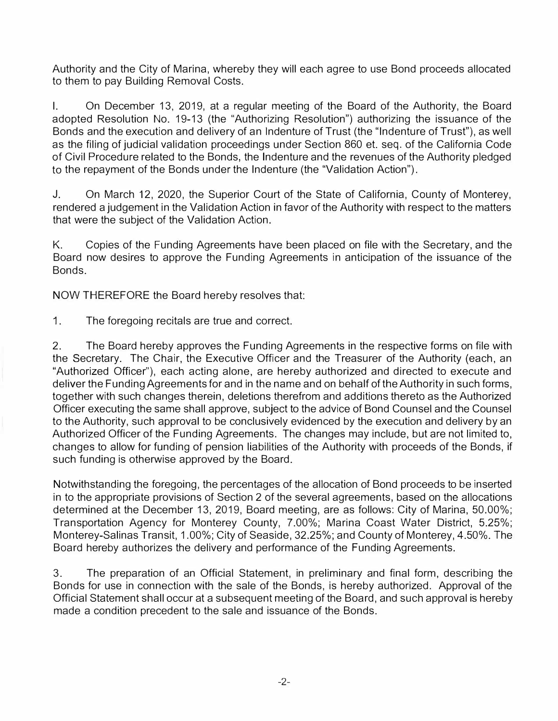Authority and the City of Marina, whereby they will each agree to use Bond proceeds allocated to them to pay Building Removal Costs.

I. On December 13, 2019, at a regular meeting of the Board of the Authority, the Board adopted Resolution No. 19-13 (the "Authorizing Resolution") authorizing the issuance of the Bonds and the execution and delivery of an Indenture of Trust (the "Indenture of Trust"), as well as the filing of judicial validation proceedings under Section 860 et. seq. of the California Code of Civil Procedure related to the Bonds, the Indenture and the revenues of the Authority pledged to the repayment of the Bonds under the Indenture (the "Validation Action").

J. On March 12, 2020, the Superior Court of the State of California, County of Monterey, rendered a judgement in the Validation Action in favor of the Authority with respect to the matters that were the subject of the Validation Action.

K. Copies of the Funding Agreements have been placed on file with the Secretary, and the Board now desires to approve the Funding Agreements in anticipation of the issuance of the Bonds.

NOW THEREFORE the Board hereby resolves that:

1. The foregoing recitals are true and correct.

2. The Board hereby approves the Funding Agreements in the respective forms on file with the Secretary. The Chair, the Executive Officer and the Treasurer of the Authority (each, an "Authorized Officer"), each acting alone, are hereby authorized and directed to execute and deliver the Funding Agreements for and in the name and on behalf of the Authority in such forms, together with such changes therein, deletions therefrom and additions thereto as the Authorized Officer executing the same shall approve, subject to the advice of Bond Counsel and the Counsel to the Authority, such approval to be conclusively evidenced by the execution and delivery by an Authorized Officer of the Funding Agreements. The changes may include, but are not limited to, changes to allow for funding of pension liabilities of the Authority with proceeds of the Bonds, if such funding is otherwise approved by the Board.

Notwithstanding the foregoing, the percentages of the allocation of Bond proceeds to be inserted in to the appropriate provisions of Section 2 of the several agreements, based on the allocations determined at the December 13, 2019, Board meeting, are as follows: City of Marina, 50.00%; Transportation Agency for Monterey County, 7.00%; Marina Coast Water District, 5.25%; Monterey-Salinas Transit, 1.00%; City of Seaside, 32.25%; and County of Monterey, 4.50%. The Board hereby authorizes the delivery and performance of the Funding Agreements.

3. The preparation of an Official Statement, in preliminary and final form, describing the Bonds for use in connection with the sale of the Bonds, is hereby authorized. Approval of the Official Statement shall occur at a subsequent meeting of the Board, and such approval is hereby made a condition precedent to the sale and issuance of the Bonds.